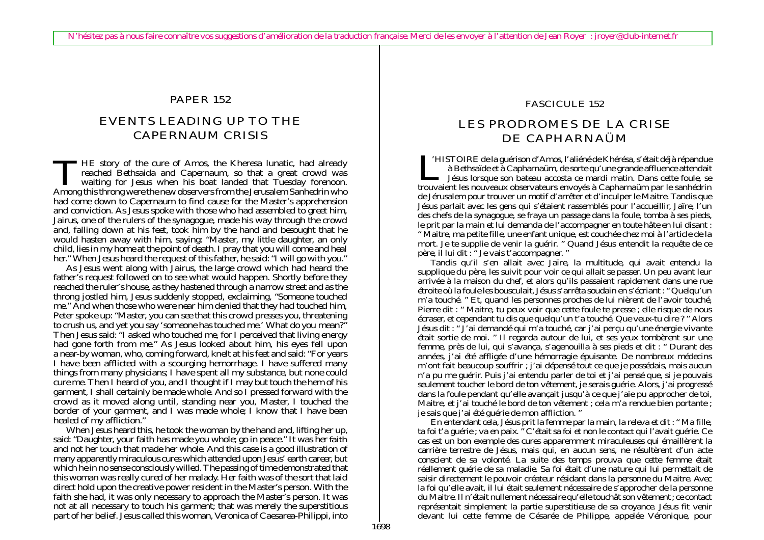## PAPER 152

# EVENTS LEADING UP TO THE CAPERNAUM CRISIS

THE story of the cure of Amos, the Kheresa lunatic, had already reached Bethsaida and Capernaum, so that a great crowd was waiting for Jesus when his boat landed that Tuesday forenoon. Among this throng were the new observers from the Jerusalem Sanhedrin who had come down to Capernaum to find cause for the Master's apprehension and conviction. As Jesus spoke with those who had assembled to greet him, Jairus, one of the rulers of the synagogue, made his way through the crowd and, falling down at his feet, took him by the hand and besought that he would hasten away with him, saying: "Master, my little daughter, an only child, lies in my home at the point of death. I pray that you will come and heal her." When Jesus heard the request of this father, he said: "I will go with you."

As Jesus went along with Jairus, the large crowd which had heard the father's request followed on to see what would happen. Shortly before they reached the ruler's house, as they hastened through a narrow street and as the throng jostled him, Jesus suddenly stopped, exclaiming, "Someone touched me." And when those who were near him denied that they had touched him, Peter spoke up: "Master, you can see that this crowd presses you, threatening to crush us, and yet you say 'someone has touched me.' What do you mean?" Then Jesus said: "I asked who touched me, for I perceived that living energy had gone forth from me." As Jesus looked about him, his eyes fell upon a near-by woman, who, coming forward, knelt at his feet and said: "For years I have been afflicted with a scourging hemorrhage. I have suffered many things from many physicians; I have spent all my substance, but none could cure me. Then I heard of you, and I thought if I may but touch the hem of his garment, I shall certainly be made whole. And so I pressed forward with the crowd as it moved along until, standing near you, Master, I touched the border of your garment, and I was made whole; I know that I have been healed of my affliction."

When Jesus heard this, he took the woman by the hand and, lifting her up, said: "Daughter, your faith has made you whole; go in peace." It was her *faith* and not her *touch* that made her whole. And this case is a good illustration of many apparently miraculous cures which attended upon Jesus' earth career, but which he in no sense consciously willed. The passing of time demonstrated that this woman was really cured of her malady. Her faith was of the sort that laid direct hold upon the creative power resident in the Master's person. With the faith she had, it was only necessary to approach the Master's person. It was not at all necessary to touch his garment; that was merely the superstitious part of her belief. Jesus called this woman, Veronica of Caesarea-Philippi, into

## FASCICULE 152

# LES PRODROMES DE LA CRISE DE CAPHARNAÜM

'HISTOIRE de la guérison d'Amos, l'aliéné de Khérésa, s'était déjà répandue L à Bethsaïde et à Capharnaüm, de sorte qu'une grande affluence attendait Jésus lorsque son bateau accosta ce mardi matin. Dans cette foule, se trouvaient les nouveaux observateurs envoyés à Capharnaüm par le sanhédrin de Jérusalem pour trouver un motif d'arrêter et d'inculper le Maitre. Tandis que Jésus parlait avec les gens qui s'étaient rassemblés pour l'accueillir, Jaïre, l'un des chefs de la synagogue, se fraya un passage dans la foule, tomba à ses pieds, le prit par la main et lui demanda de l'accompagner en toute hâte en lui disant : " Maitre, ma petite fille, une enfant unique, est couchée chez moi à l'article de la mort. Je te supplie de venir la guérir. " Quand Jésus entendit la requête de ce père, il lui dit : " Je vais t'accompagner. "

Tandis qu'il s'en allait avec Jaïre, la multitude, qui avait entendu la supplique du père, les suivit pour voir ce qui allait se passer. Un peu avant leur arrivée à la maison du chef, et alors qu'ils passaient rapidement dans une rue étroite où la foule les bousculait, Jésus s'arrêta soudain en s'écriant : " Quelqu'un m'a touché. " Et, quand les personnes proches de lui nièrent de l'avoir touché, Pierre dit : " Maitre, tu peux voir que cette foule te presse ; elle risque de nous écraser, et cependant tu dis que quelqu'un t'a touché. Que veux-tu dire ? " Alors Jésus dit : " J'ai demandé qui m'a touché, car j'ai perçu qu'une énergie vivante était sortie de moi. " Il regarda autour de lui, et ses yeux tombèrent sur une femme, près de lui, qui s'avança, s'agenouilla à ses pieds et dit : " Durant des années, j'ai été affligée d'une hémorragie épuisante. De nombreux médecins m'ont fait beaucoup souffrir ; j'ai dépensé tout ce que je possédais, mais aucun n'a pu me guérir. Puis j'ai entendu parler de toi et j'ai pensé que, si je pouvais seulement toucher le bord de ton vêtement, je serais guérie. Alors, j'ai progressé dans la foule pendant qu'elle avançait jusqu'à ce que j'aie pu approcher de toi, Maitre, et j'ai touché le bord de ton vêtement ; cela m'a rendue bien portante ; je sais que j'ai été guérie de mon affliction. "

En entendant cela, Jésus prit la femme par la main, la releva et dit : " Ma fille, ta foi t'a guérie ; va en paix. " C'était sa *foi* et non le *contact* qui l'avait guérie. Ce cas est un bon exemple des cures apparemment miraculeuses qui émaillèrent la carrière terrestre de Jésus, mais qui, en aucun sens, ne résultèrent d'un acte conscient de sa volonté. La suite des temps prouva que cette femme était réellement guérie de sa maladie. Sa foi était d'une nature qui lui permettait de saisir directement le pouvoir créateur résidant dans la personne du Maitre. Avec la foi qu'elle avait, il lui était seulement nécessaire de s'approcher de la personne du Maitre. Il n'était nullement nécessaire qu'elle touchât son vêtement ; ce contact représentait simplement la partie superstitieuse de sa croyance. Jésus fit venir devant lui cette femme de Césarée de Philippe, appelée Véronique, pour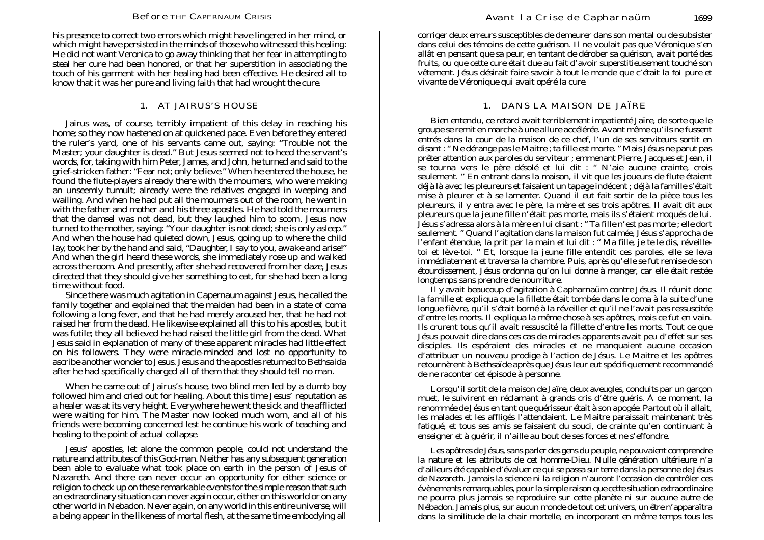## Before THE CAPERNAUM

his presence to correct two errors which might have lingered in her mind, or which might have persisted in the minds of those who witnessed this healing: He did not want Veronica to go away thinking that her fear in attempting to steal her cure had been honored, or that her superstition in associating the touch of his garment with her healing had been effective. He desired all to know that it was her pure and living *faith* that had wrought the cure.

#### 1. AT JAIRUS'S HOUSE

Jairus was, of course, terribly impatient of this delay in reaching his home; so they now hastened on at quickened pace. Even before they entered the ruler's yard, one of his servants came out, saying: "Trouble not the Master; your daughter is dead." But Jesus seemed not to heed the servant's words, for, taking with him Peter, James, and John, he turned and said to the grief-stricken father: "Fear not; only believe." When he entered the house, he found the flute-players already there with the mourners, who were making an unseemly tumult; already were the relatives engaged in weeping and wailing. And when he had put all the mourners out of the room, he went in with the father and mother and his three apostles. He had told the mourners that the damsel was not dead, but they laughed him to scorn. Jesus now turned to the mother, saying: "Your daughter is not dead; she is only asleep." And when the house had quieted down, Jesus, going up to where the child lay, took her by the hand and said, "Daughter, I say to you, awake and arise!" And when the girl heard these words, she immediately rose up and walked across the room. And presently, after she had recovered from her daze, Jesus directed that they should give her something to eat, for she had been a long time without food.

Since there was much agitation in Capernaum against Jesus, he called the family together and explained that the maiden had been in a state of coma following a long fever, and that he had merely aroused her, that he had not raised her from the dead. He likewise explained all this to his apostles, but it was futile; they all believed he had raised the little girl from the dead. What Jesus said in explanation of many of these apparent miracles had little effect on his followers. They were miracle-minded and lost no opportunity to ascribe another wonder to Jesus. Jesus and the apostles returned to Bethsaida after he had specifically charged all of them that they should tell no man.

When he came out of Jairus's house, two blind men led by a dumb boy followed him and cried out for healing. About this time Jesus' reputation as a healer was at its very height. Everywhere he went the sick and the afflicted were waiting for him. The Master now looked much worn, and all of his friends were becoming concerned lest he continue his work of teaching and healing to the point of actual collapse.

Jesus' apostles, let alone the common people, could not understand the nature and attributes of this God-man. Neither has any subsequent generation been able to evaluate what took place on earth in the person of Jesus of Nazareth. And there can never occur an opportunity for either science or religion to check up on these remarkable events for the simple reason that such an extraordinary situation can never again occur, either on this world or on any other world in Nebadon. Never again, on any world in this entire universe, will a being appear in the likeness of mortal flesh, at the same time embodying all

#### 1. DANS LA MAISON DE JAÏRE

Bien entendu, ce retard avait terriblement impatienté Jaïre, de sorte que le groupe se remit en marche à une allure accélérée. Avant même qu'ils ne fussent entrés dans la cour de la maison de ce chef, l'un de ses serviteurs sortit en disant : " Ne dérange pas le Maitre ; ta fille est morte. " Mais Jésus ne parut pas prêter attention aux paroles du serviteur ; emmenant Pierre, Jacques et Jean, il se tourna vers le père désolé et lui dit : " N'aie aucune crainte, crois seulement. " En entrant dans la maison, il vit que les joueurs de flute étaient déjà là avec les pleureurs et faisaient un tapage indécent ; déjà la famille s'était mise à pleurer et à se lamenter. Quand il eut fait sortir de la pièce tous les pleureurs, il y entra avec le père, la mère et ses trois apôtres. Il avait dit aux pleureurs que la jeune fille n'était pas morte, mais ils s'étaient moqués de lui. Jésus s'adressa alors à la mère en lui disant : " Ta fille n'est pas morte ; elle dort seulement. " Quand l'agitation dans la maison fut calmée, Jésus s'approcha de l'enfant étendue, la prit par la main et lui dit : " Ma fille, je te le dis, réveilletoi et lève-toi. " Et, lorsque la jeune fille entendit ces paroles, elle se leva immédiatement et traversa la chambre. Puis, après qu'elle se fut remise de son étourdissement, Jésus ordonna qu'on lui donne à manger, car elle était restée longtemps sans prendre de nourriture.

Il y avait beaucoup d'agitation à Capharnaüm contre Jésus. Il réunit donc la famille et expliqua que la fillette était tombée dans le coma à la suite d'une longue fièvre, qu'il s'était borné à la réveiller et qu'il ne l'avait pas ressuscitée d'entre les morts. Il expliqua la même chose à ses apôtres, mais ce fut en vain. Ils crurent tous qu'il avait ressuscité la fillette d'entre les morts. Tout ce que Jésus pouvait dire dans ces cas de miracles apparents avait peu d'effet sur ses disciples. Ils espéraient des miracles et ne manquaient aucune occasion d'attribuer un nouveau prodige à l'action de Jésus. Le Maitre et les apôtres retournèrent à Bethsaïde après que Jésus leur eut spécifiquement recommandé de ne raconter cet épisode à personne.

Lorsqu'il sortit de la maison de Jaïre, deux aveugles, conduits par un garçon muet, le suivirent en réclamant à grands cris d'être guéris. À ce moment, la renommée de Jésus en tant que guérisseur était à son apogée. Partout où il allait, les malades et les affligés l'attendaient. Le Maitre paraissait maintenant très fatigué, et tous ses amis se faisaient du souci, de crainte qu'en continuant à enseigner et à guérir, il n'aille au bout de ses forces et ne s'effondre.

Les apôtres de Jésus, sans parler des gens du peuple, ne pouvaient comprendre la nature et les attributs de cet homme-Dieu. Nulle génération ultérieure n'a d'ailleurs été capable d'évaluer ce qui se passa sur terre dans la personne de Jésus de Nazareth. Jamais la science ni la religion n'auront l'occasion de contrôler ces évènements remarquables, pour la simple raison que cette situation extraordinaire ne pourra plus jamais se reproduire sur cette planète ni sur aucune autre de Nébadon. Jamais plus, sur aucun monde de tout cet univers, un être n'apparaîtra dans la similitude de la chair mortelle, en incorporant en même temps tous les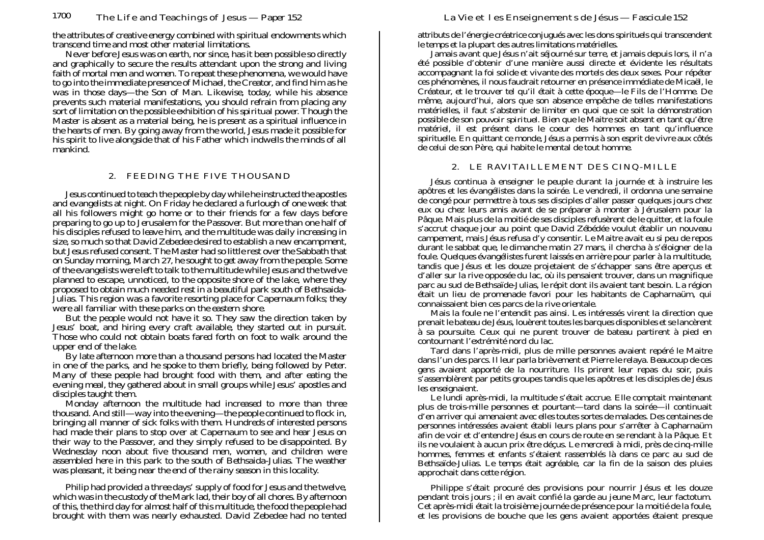the attributes of creative energy combined with spiritual endowments which transcend time and most other material limitations.

Never before Jesus was on earth, nor since, has it been possible so directly and graphically to secure the results attendant upon the strong and living faith of mortal men and women. To repeat these phenomena, we would have to go into the immediate presence of Michael, the Creator, and find him as he was in those days—the Son of Man. Likewise, today, while his absence prevents such material manifestations, you should refrain from placing any sort of limitation on the possible exhibition of his *spiritual power.* Though the Master is absent as a material being, he is present as a spiritual influence in the hearts of men. By going away from the world, Jesus made it possible for his spirit to live alongside that of his Father which indwells the minds of all mankind.

## 2. FEEDING THE FIVE THOUSAND

Jesus continued to teach the people by day while he instructed the apostles and evangelists at night. On Friday he declared a furlough of one week that all his followers might go home or to their friends for a few days before preparing to go up to Jerusalem for the Passover. But more than one half of his disciples refused to leave him, and the multitude was daily increasing in size, so much so that David Zebedee desired to establish a new encampment, but Jesus refused consent. The Master had so little rest over the Sabbath that on Sunday morning, March 27, he sought to get away from the people. Some of the evangelists were left to talk to the multitude while Jesus and the twelve planned to escape, unnoticed, to the opposite shore of the lake, where they proposed to obtain much needed rest in a beautiful park south of Bethsaida-Julias. This region was a favorite resorting place for Capernaum folks; they were all familiar with these parks on the eastern shore.

But the people would not have it so. They saw the direction taken by Jesus' boat, and hiring every craft available, they started out in pursuit. Those who could not obtain boats fared forth on foot to walk around the upper end of the lake.

By late afternoon more than a thousand persons had located the Master in one of the parks, and he spoke to them briefly, being followed by Peter. Many of these people had brought food with them, and after eating the evening meal, they gathered about in small groups while Jesus' apostles and disciples taught them.

Monday afternoon the multitude had increased to more than three thousand. And still—way into the evening—the people continued to flock in, bringing all manner of sick folks with them. Hundreds of interested persons had made their plans to stop over at Capernaum to see and hear Jesus on their way to the Passover, and they simply refused to be disappointed. By Wednesday noon about five thousand men, women, and children were assembled here in this park to the south of Bethsaida-Julias. The weather was pleasant, it being near the end of the rainy season in this locality.

Philip had provided a three days' supply of food for Jesus and the twelve, which was in the custody of the Mark lad, their boy of all chores. By afternoon of this, the third day for almost half of this multitude, the food the people had brought with them was nearly exhausted. David Zebedee had no tented attributs de l'énergie créatrice conjugués avec les dons spirituels qui transcendent le temps et la plupart des autres limitations matérielles.

Jamais avant que Jésus n'ait séjourné sur terre, et jamais depuis lors, il n'a été possible d'obtenir d'une manière aussi directe et évidente les résultats accompagnant la foi solide et vivante des mortels des deux sexes. Pour répéter ces phénomènes, il nous faudrait retourner en présence immédiate de Micaël, le Créateur, et le trouver tel qu'il était à cette époque—le Fils de l'Homme. De même, aujourd'hui, alors que son absence empêche de telles manifestations matérielles, il faut s'abstenir de limiter en quoi que ce soit la démonstration possible de son *pouvoir spirituel.* Bien que le Maitre soit absent en tant qu'être matériel, il est présent dans le coeur des hommes en tant qu'influence spirituelle. En quittant ce monde, Jésus a permis à son esprit de vivre aux côtés de celui de son Père, qui habite le mental de tout homme.

### 2. LE RAVITAILLEMENT DES CINQ-MILLE

Jésus continua à enseigner le peuple durant la journée et à instruire les apôtres et les évangélistes dans la soirée. Le vendredi, il ordonna une semaine de congé pour permettre à tous ses disciples d'aller passer quelques jours chez eux ou chez leurs amis avant de se préparer à monter à Jérusalem pour la Pâque. Mais plus de la moitié de ses disciples refusèrent de le quitter, et la foule s'accrut chaque jour au point que David Zébédée voulut établir un nouveau campement, mais Jésus refusa d'y consentir. Le Maitre avait eu si peu de repos durant le sabbat que, le dimanche matin 27 mars, il chercha à s'éloigner de la foule. Quelques évangélistes furent laissés en arrière pour parler à la multitude, tandis que Jésus et les douze projetaient de s'échapper sans être aperçus et d'aller sur la rive opposée du lac, où ils pensaient trouver, dans un magnifique parc au sud de Bethsaïde-Julias, le répit dont ils avaient tant besoin. La région était un lieu de promenade favori pour les habitants de Capharnaüm, qui connaissaient bien ces parcs de la rive orientale.

Mais la foule ne l'entendit pas ainsi. Les intéressés virent la direction que prenait le bateau de Jésus, louèrent toutes les barques disponibles et se lancèrent à sa poursuite. Ceux qui ne purent trouver de bateau partirent à pied en contournant l'extrémité nord du lac.

Tard dans l'après-midi, plus de mille personnes avaient repéré le Maitre dans l'un des parcs. Il leur parla brièvement et Pierre le relaya. Beaucoup de ces gens avaient apporté de la nourriture. Ils prirent leur repas du soir, puis s'assemblèrent par petits groupes tandis que les apôtres et les disciples de Jésus les enseignaient.

Le lundi après-midi, la multitude s'était accrue. Elle comptait maintenant plus de trois-mille personnes et pourtant—tard dans la soirée—il continuait d'en arriver qui amenaient avec elles toutes sortes de malades. Des centaines de personnes intéressées avaient établi leurs plans pour s'arrêter à Capharnaüm afin de voir et d'entendre Jésus en cours de route en se rendant à la Pâque. Et ils ne voulaient à aucun prix être déçus. Le mercredi à midi, près de cinq-mille hommes, femmes et enfants s'étaient rassemblés là dans ce parc au sud de Bethsaïde-Julias. Le temps était agréable, car la fin de la saison des pluies approchait dans cette région.

Philippe s'était procuré des provisions pour nourrir Jésus et les douze pendant trois jours ; il en avait confié la garde au jeune Marc, leur factotum. Cet après-midi était la troisième journée de présence pour la moitié de la foule, et les provisions de bouche que les gens avaient apportées étaient presque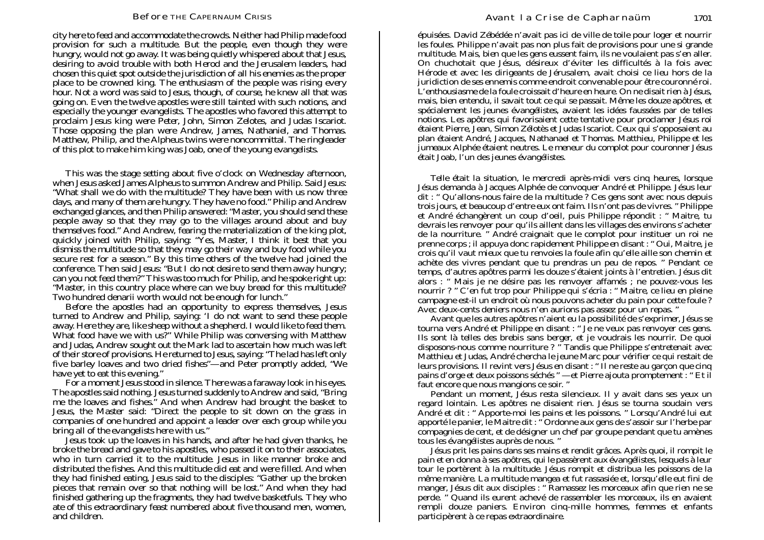### Before THE CAPERNAUM

city here to feed and accommodate the crowds. Neither had Philip made food provision for such a multitude. But the people, even though they were hungry, would not go away. It was being quietly whispered about that Jesus, desiring to avoid trouble with both Herod and the Jerusalem leaders, had chosen this quiet spot outside the jurisdiction of all his enemies as the proper place to be crowned king. The enthusiasm of the people was rising every hour. Not a word was said to Jesus, though, of course, he knew all that was going on. Even the twelve apostles were still tainted with such notions, and especially the younger evangelists. The apostles who favored this attempt to proclaim Jesus king were Peter, John, Simon Zelotes, and Judas Iscariot. Those opposing the plan were Andrew, James, Nathaniel, and Thomas. Matthew, Philip, and the Alpheus twins were noncommittal. The ringleader of this plot to make him king was Joab, one of the young evangelists.

This was the stage setting about five o'clock on Wednesday afternoon, when Jesus asked James Alpheus to summon Andrew and Philip. Said Jesus: "What shall we do with the multitude? They have been with us now three days, and many of them are hungry. They have no food." Philip and Andrew exchanged glances, and then Philip answered: "Master, you should send these people away so that they may go to the villages around about and buy themselves food." And Andrew, fearing the materialization of the king plot, quickly joined with Philip, saying: "Yes, Master, I think it best that you dismiss the multitude so that they may go their way and buy food while you secure rest for a season." By this time others of the twelve had joined the conference. Then said Jesus: "But I do not desire to send them away hungry; can you not feed them?" This was too much for Philip, and he spoke right up: "Master, in this country place where can we buy bread for this multitude? Two hundred denarii worth would not be enough for lunch."

Before the apostles had an opportunity to express themselves, Jesus turned to Andrew and Philip, saying: 'I do not want to send these people away. Here they are, like sheep without a shepherd. I would like to feed them. What food have we with us?" While Philip was conversing with Matthew and Judas, Andrew sought out the Mark lad to ascertain how much was left of their store of provisions. He returned to Jesus, saying: "The lad has left only five barley loaves and two dried fishes"—and Peter promptly added, "We have yet to eat this evening."

For a moment Jesus stood in silence. There was a faraway look in his eyes. The apostles said nothing. Jesus turned suddenly to Andrew and said, "Bring me the loaves and fishes." And when Andrew had brought the basket to Jesus, the Master said: "Direct the people to sit down on the grass in companies of one hundred and appoint a leader over each group while you bring all of the evangelists here with us."

Jesus took up the loaves in his hands, and after he had given thanks, he broke the bread and gave to his apostles, who passed it on to their associates, who in turn carried it to the multitude. Jesus in like manner broke and distributed the fishes. And this multitude did eat and were filled. And when they had finished eating, Jesus said to the disciples: "Gather up the broken pieces that remain over so that nothing will be lost." And when they had finished gathering up the fragments, they had twelve basketfuls. They who ate of this extraordinary feast numbered about five thousand men, women, and children.

épuisées. David Zébédée n'avait pas ici de ville de toile pour loger et nourrir les foules. Philippe n'avait pas non plus fait de provisions pour une si grande multitude. Mais, bien que les gens eussent faim, ils ne voulaient pas s'en aller. On chuchotait que Jésus, désireux d'éviter les difficultés à la fois avec Hérode et avec les dirigeants de Jérusalem, avait choisi ce lieu hors de la juridiction de ses ennemis comme endroit convenable pour être couronné roi. L'enthousiasme de la foule croissait d'heure en heure. On ne disait rien à Jésus, mais, bien entendu, il savait tout ce qui se passait. Même les douze apôtres, et spécialement les jeunes évangélistes, avaient les idées faussées par de telles notions. Les apôtres qui favorisaient cette tentative pour proclamer Jésus roi étaient Pierre, Jean, Simon Zélotès et Judas Iscariot. Ceux qui s'opposaient au plan étaient André, Jacques, Nathanael et Thomas. Matthieu, Philippe et les jumeaux Alphée étaient neutres. Le meneur du complot pour couronner Jésus était Joab, l'un des jeunes évangélistes.

Telle était la situation, le mercredi après-midi vers cinq heures, lorsque Jésus demanda à Jacques Alphée de convoquer André et Philippe. Jésus leur dit : " Qu'allons-nous faire de la multitude ? Ces gens sont avec nous depuis trois jours, et beaucoup d'entre eux ont faim. Ils n'ont pas de vivres. " Philippe et André échangèrent un coup d'oeil, puis Philippe répondit : " Maitre, tu devrais les renvoyer pour qu'ils aillent dans les villages des environs s'acheter de la nourriture. " André craignait que le complot pour instituer un roi ne prenne corps ; il appuya donc rapidement Philippe en disant : " Oui, Maitre, je crois qu'il vaut mieux que tu renvoies la foule afin qu'elle aille son chemin et achète des vivres pendant que tu prendras un peu de repos. " Pendant ce temps, d'autres apôtres parmi les douze s'étaient joints à l'entretien. Jésus dit alors : " Mais je ne désire pas les renvoyer affamés ; ne pouvez-vous les nourrir ? " C'en fut trop pour Philippe qui s'écria : " Maitre, ce lieu en pleine campagne est-il un endroit où nous pouvons acheter du pain pour cette foule ? Avec deux-cents deniers nous n'en aurions pas assez pour un repas. "

Avant que les autres apôtres n'aient eu la possibilité de s'exprimer, Jésus se tourna vers André et Philippe en disant : " Je ne veux pas renvoyer ces gens. Ils sont là telles des brebis sans berger, et je voudrais les nourrir. De quoi disposons-nous comme nourriture ? " Tandis que Philippe s'entretenait avec Matthieu et Judas, André chercha le jeune Marc pour vérifier ce qui restait de leurs provisions. Il revint vers Jésus en disant : " Il ne reste au garçon que cinq pains d'orge et deux poissons séchés " —et Pierre ajouta promptement : " Et il faut encore que nous mangions ce soir. "

Pendant un moment, Jésus resta silencieux. Il y avait dans ses yeux un regard lointain. Les apôtres ne disaient rien. Jésus se tourna soudain vers André et dit : " Apporte-moi les pains et les poissons. " Lorsqu'André lui eut apporté le panier, le Maitre dit : " Ordonne aux gens de s'assoir sur l'herbe par compagnies de cent, et de désigner un chef par groupe pendant que tu amènes tous les évangélistes auprès de nous. "

Jésus prit les pains dans ses mains et rendit grâces. Après quoi, il rompit le pain et en donna à ses apôtres, qui le passèrent aux évangélistes, lesquels à leur tour le portèrent à la multitude. Jésus rompit et distribua les poissons de la même manière. La multitude mangea et fut rassasiée et, lorsqu'elle eut fini de manger, Jésus dit aux disciples : " Ramassez les morceaux afin que rien ne se perde. " Quand ils eurent achevé de rassembler les morceaux, ils en avaient rempli douze paniers. Environ cinq-mille hommes, femmes et enfants participèrent à ce repas extraordinaire.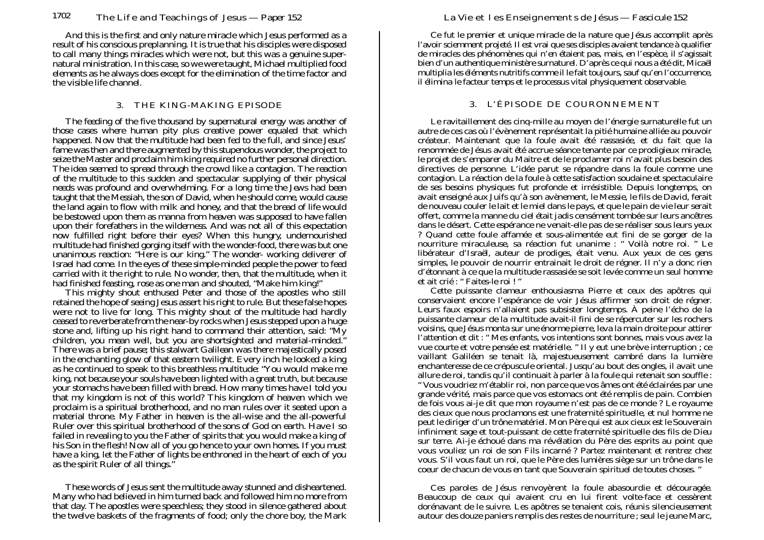And this is the first and only nature miracle which Jesus performed as a result of his conscious preplanning. It is true that his disciples were disposed to call many things miracles which were not, but this was a genuine supernatural ministration. In this case, so we were taught, Michael multiplied food elements as he always does except for the elimination of the time factor and the visible life channel.

## 3. THE KING-MAKING EPISODE

The feeding of the five thousand by supernatural energy was another of those cases where human pity plus creative power equaled that which happened. Now that the multitude had been fed to the full, and since Jesus' fame was then and there augmented by this stupendous wonder, the project to seize the Master and proclaim him king required no further personal direction. The idea seemed to spread through the crowd like a contagion. The reaction of the multitude to this sudden and spectacular supplying of their physical needs was profound and overwhelming. For a long time the Jews had been taught that the Messiah, the son of David, when he should come, would cause the land again to flow with milk and honey, and that the bread of life would be bestowed upon them as manna from heaven was supposed to have fallen upon their forefathers in the wilderness. And was not all of this expectation now fulfilled right before their eyes? When this hungry, undernourished multitude had finished gorging itself with the wonder-food, there was but one unanimous reaction: "Here is our king." The wonder- working deliverer of Israel had come. In the eyes of these simple-minded people the power to feed carried with it the right to rule. No wonder, then, that the multitude, when it had finished feasting, rose as one man and shouted, "Make him king!"

This mighty shout enthused Peter and those of the apostles who still retained the hope of seeing Jesus assert his right to rule. But these false hopes were not to live for long. This mighty shout of the multitude had hardly ceased to reverberate from the near-by rocks when Jesus stepped upon a huge stone and, lifting up his right hand to command their attention, said: "My children, you mean well, but you are shortsighted and material-minded." There was a brief pause; this stalwart Galilean was there majestically posed in the enchanting glow of that eastern twilight. Every inch he looked a king as he continued to speak to this breathless multitude: "You would make me king, not because your souls have been lighted with a great truth, but because your stomachs have been filled with bread. How many times have I told you that my kingdom is not of this world? This kingdom of heaven which we proclaim is a spiritual brotherhood, and no man rules over it seated upon a material throne. My Father in heaven is the all-wise and the all-powerful Ruler over this spiritual brotherhood of the sons of God on earth. Have I so failed in revealing to you the Father of spirits that you would make a king of his Son in the flesh! Now all of you go hence to your own homes. If you must have a king, let the Father of lights be enthroned in the heart of each of you as the spirit Ruler of all things."

These words of Jesus sent the multitude away stunned and disheartened. Many who had believed in him turned back and followed him no more from that day. The apostles were speechless; they stood in silence gathered about the twelve baskets of the fragments of food; only the chore boy, the Mark

Ce fut le premier et unique miracle de la nature que Jésus accomplit après l'avoir sciemment projeté. Il est vrai que ses disciples avaient tendance à qualifier de miracles des phénomènes qui n'en étaient pas, mais, en l'espèce, il s'agissait bien d'un authentique ministère surnaturel. D'après ce qui nous a été dit, Micaël multiplia les éléments nutritifs comme il le fait toujours, sauf qu'en l'occurrence, il élimina le facteur temps et le processus vital physiquement observable.

## 3. L'ÉPISODE DE COURONNEMENT

Le ravitaillement des cinq-mille au moyen de l'énergie surnaturelle fut un autre de ces cas où l'évènement représentait la pitié humaine alliée au pouvoir créateur. Maintenant que la foule avait été rassasiée, et du fait que la renommée de Jésus avait été accrue séance tenante par ce prodigieux miracle, le projet de s'emparer du Maitre et de le proclamer roi n'avait plus besoin des directives de personne. L'idée parut se répandre dans la foule comme une contagion. La réaction de la foule à cette satisfaction soudaine et spectaculaire de ses besoins physiques fut profonde et irrésistible. Depuis longtemps, on avait enseigné aux Juifs qu'à son avènement, le Messie, le fils de David, ferait de nouveau couler le lait et le miel dans le pays, et que le pain de vie leur serait offert, comme la manne du ciel était jadis censément tombée sur leurs ancêtres dans le désert. Cette espérance ne venait-elle pas de se réaliser sous leurs yeux ? Quand cette foule affamée et sous-alimentée eut fini de se gorger de la nourriture miraculeuse, sa réaction fut unanime : " Voilà notre roi. " Le libérateur d'Israël, auteur de prodiges, était venu. Aux yeux de ces gens simples, le pouvoir de nourrir entrainait le droit de régner. Il n'y a donc rien d'étonnant à ce que la multitude rassasiée se soit levée comme un seul homme et ait crié : " Faites-le roi ! "

Cette puissante clameur enthousiasma Pierre et ceux des apôtres qui conservaient encore l'espérance de voir Jésus affirmer son droit de régner. Leurs faux espoirs n'allaient pas subsister longtemps. À peine l'écho de la puissante clameur de la multitude avait-il fini de se répercuter sur les rochers voisins, que Jésus monta sur une énorme pierre, leva la main droite pour attirer l'attention et dit : " Mes enfants, vos intentions sont bonnes, mais vous avez la vue courte et votre pensée est matérielle. " Il y eut une brève interruption ; ce vaillant Galiléen se tenait là, majestueusement cambré dans la lumière enchanteresse de ce crépuscule oriental. Jusqu'au bout des ongles, il avait une allure de roi, tandis qu'il continuait à parler à la foule qui retenait son souffle : " Vous voudriez m'établir roi, non parce que vos âmes ont été éclairées par une grande vérité, mais parce que vos estomacs ont été remplis de pain. Combien de fois vous ai-je dit que mon royaume n'est pas de ce monde ? Le royaume des cieux que nous proclamons est une fraternité spirituelle, et nul homme ne peut le diriger d'un trône matériel. Mon Père qui est aux cieux est le Souverain infiniment sage et tout-puissant de cette fraternité spirituelle des fils de Dieu sur terre. Ai-je échoué dans ma révélation du Père des esprits au point que vous vouliez un roi de son Fils incarné ? Partez maintenant et rentrez chez vous. S'il vous faut un roi, que le Père des lumières siège sur un trône dans le coeur de chacun de vous en tant que Souverain spirituel de toutes choses. "

Ces paroles de Jésus renvoyèrent la foule abasourdie et découragée. Beaucoup de ceux qui avaient cru en lui firent volte-face et cessèrent dorénavant de le suivre. Les apôtres se tenaient cois, réunis silencieusement autour des douze paniers remplis des restes de nourriture ; seul le jeune Marc,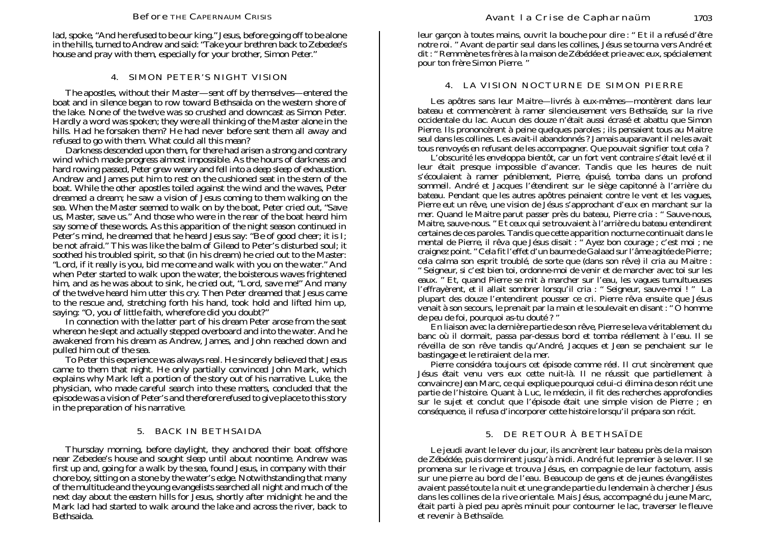## Before THE CAPERNAUM

lad, spoke, "And he refused to be our king." Jesus, before going off to be alone in the hills, turned to Andrew and said: "Take your brethren back to Zebedee's house and pray with them, especially for your brother, Simon Peter."

## 4. SIMON PETER'S NIGHT VISION

The apostles, without their Master—sent off by themselves—entered the boat and in silence began to row toward Bethsaida on the western shore of the lake. None of the twelve was so crushed and downcast as Simon Peter. Hardly a word was spoken; they were all thinking of the Master alone in the hills. Had he forsaken them? He had never before sent them all away and refused to go with them. What could all this mean?

Darkness descended upon them, for there had arisen a strong and contrary wind which made progress almost impossible. As the hours of darkness and hard rowing passed, Peter grew weary and fell into a deep sleep of exhaustion. Andrew and James put him to rest on the cushioned seat in the stern of the boat. While the other apostles toiled against the wind and the waves, Peter dreamed a dream; he saw a vision of Jesus coming to them walking on the sea. When the Master seemed to walk on by the boat, Peter cried out, "Save us, Master, save us." And those who were in the rear of the boat heard him say some of these words. As this apparition of the night season continued in Peter's mind, he dreamed that he heard Jesus say: "Be of good cheer; it is I; be not afraid." This was like the balm of Gilead to Peter's disturbed soul; it soothed his troubled spirit, so that (in his dream) he cried out to the Master: "Lord, if it really is you, bid me come and walk with you on the water." And when Peter started to walk upon the water, the boisterous waves frightened him, and as he was about to sink, he cried out, "Lord, save me!" And many of the twelve heard him utter this cry. Then Peter dreamed that Jesus came to the rescue and, stretching forth his hand, took hold and lifted him up, saying: "O, you of little faith, wherefore did you doubt?"

In connection with the latter part of his dream Peter arose from the seat whereon he slept and actually stepped overboard and into the water. And he awakened from his dream as Andrew, James, and John reached down and pulled him out of the sea.

To Peter this experience was always real. He sincerely believed that Jesus came to them that night. He only partially convinced John Mark, which explains why Mark left a portion of the story out of his narrative. Luke, the physician, who made careful search into these matters, concluded that the episode was a vision of Peter's and therefore refused to give place to this story in the preparation of his narrative.

## 5. BACK IN BETHSAIDA

Thursday morning, before daylight, they anchored their boat offshore near Zebedee's house and sought sleep until about noontime. Andrew was first up and, going for a walk by the sea, found Jesus, in company with their chore boy, sitting on a stone by the water's edge. Notwithstanding that many of the multitude and the young evangelists searched all night and much of the next day about the eastern hills for Jesus, shortly after midnight he and the Mark lad had started to walk around the lake and across the river, back to Bethsaida.

leur garçon à toutes mains, ouvrit la bouche pour dire : " Et il a refusé d'être notre roi. " Avant de partir seul dans les collines, Jésus se tourna vers André et dit : " Remmène tes frères à la maison de Zébédée et prie avec eux, spécialement pour ton frère Simon Pierre. "

### 4. LA VISION NOCTURNE DE SIMON PIERRE

Les apôtres sans leur Maitre—livrés à eux-mêmes—montèrent dans leur bateau et commencèrent à ramer silencieusement vers Bethsaïde, sur la rive occidentale du lac. Aucun des douze n'était aussi écrasé et abattu que Simon Pierre. Ils prononcèrent à peine quelques paroles ; ils pensaient tous au Maitre seul dans les collines. Les avait-il abandonnés ? Jamais auparavant il ne les avait tous renvoyés en refusant de les accompagner. Que pouvait signifier tout cela ?

L'obscurité les enveloppa bientôt, car un fort vent contraire s'était levé et il leur était presque impossible d'avancer. Tandis que les heures de nuit s'écoulaient à ramer péniblement, Pierre, épuisé, tomba dans un profond sommeil. André et Jacques l'étendirent sur le siège capitonné à l'arrière du bateau. Pendant que les autres apôtres peinaient contre le vent et les vagues, Pierre eut un rêve, une vision de Jésus s'approchant d'eux en marchant sur la mer. Quand le Maitre parut passer près du bateau, Pierre cria : " Sauve-nous, Maitre, sauve-nous. " Et ceux qui se trouvaient à l'arrière du bateau entendirent certaines de ces paroles. Tandis que cette apparition nocturne continuait dans le mental de Pierre, il rêva que Jésus disait : " Ayez bon courage ; c'est moi ; ne craignez point. " Cela fit l'effet d'un baume de Galaad sur l'âme agitée de Pierre ; cela calma son esprit troublé, de sorte que (dans son rêve) il cria au Maitre : " Seigneur, si c'est bien toi, ordonne-moi de venir et de marcher avec toi sur les eaux. " Et, quand Pierre se mit à marcher sur l'eau, les vagues tumultueuses l'effrayèrent, et il allait sombrer lorsqu'il cria : " Seigneur, sauve-moi ! " La plupart des douze l'entendirent pousser ce cri. Pierre rêva ensuite que Jésus venait à son secours, le prenait par la main et le soulevait en disant : " O homme de peu de foi, pourquoi as-tu douté ? "

En liaison avec la dernière partie de son rêve, Pierre se leva véritablement du banc où il dormait, passa par-dessus bord et tomba réellement à l'eau. Il se réveilla de son rêve tandis qu'André, Jacques et Jean se penchaient sur le bastingage et le retiraient de la mer.

Pierre considéra toujours cet épisode comme réel. Il crut sincèrement que Jésus était venu vers eux cette nuit-là. Il ne réussit que partiellement à convaincre Jean Marc, ce qui explique pourquoi celui-ci élimina de son récit une partie de l'histoire. Quant à Luc, le médecin, il fit des recherches approfondies sur le sujet et conclut que l'épisode était une simple vision de Pierre ; en conséquence, il refusa d'incorporer cette histoire lorsqu'il prépara son récit.

### 5. DE RETOUR À BETHSAÏDE

Le jeudi avant le lever du jour, ils ancrèrent leur bateau près de la maison de Zébédée, puis dormirent jusqu'à midi. André fut le premier à se lever. Il se promena sur le rivage et trouva Jésus, en compagnie de leur factotum, assis sur une pierre au bord de l'eau. Beaucoup de gens et de jeunes évangélistes avaient passé toute la nuit et une grande partie du lendemain à chercher Jésus dans les collines de la rive orientale. Mais Jésus, accompagné du jeune Marc, était parti à pied peu après minuit pour contourner le lac, traverser le fleuve et revenir à Bethsaïde.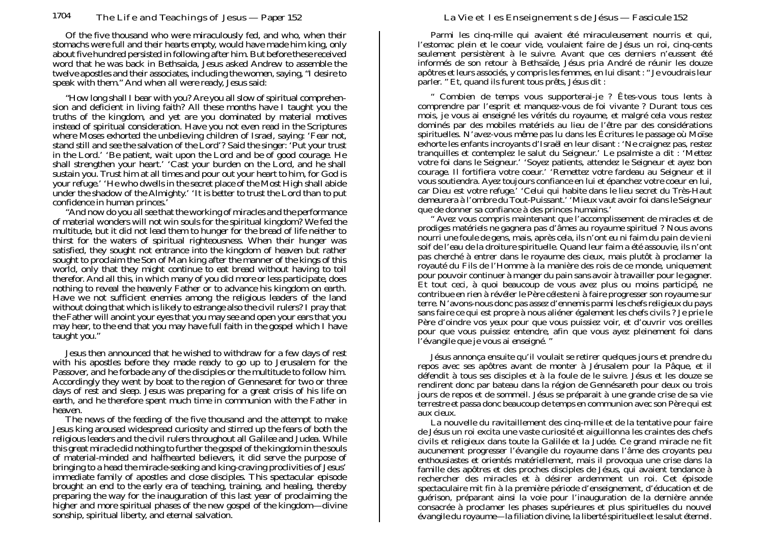Of the five thousand who were miraculously fed, and who, when their stomachs were full and their hearts empty, would have made him king, only about five hundred persisted in following after him. But before these received word that he was back in Bethsaida, Jesus asked Andrew to assemble the twelve apostles and their associates, including the women, saying, "I desire to speak with them." And when all were ready, Jesus said:

"How long shall I bear with you? Are you all slow of spiritual comprehension and deficient in living faith? All these months have I taught you the truths of the kingdom, and yet are you dominated by material motives instead of spiritual consideration. Have you not even read in the Scriptures where Moses exhorted the unbelieving children of Israel, saying: 'Fear not, stand still and see the salvation of the Lord'? Said the singer: 'Put your trust in the Lord.' 'Be patient, wait upon the Lord and be of good courage. He shall strengthen your heart.' 'Cast your burden on the Lord, and he shall sustain you. Trust him at all times and pour out your heart to him, for God is your refuge.' 'He who dwells in the secret place of the Most High shall abide under the shadow of the Almighty.' 'It is better to trust the Lord than to put confidence in human princes.'

"And now do you all see that the working of miracles and the performance of material wonders will not win souls for the spiritual kingdom? We fed the multitude, but it did not lead them to hunger for the bread of life neither to thirst for the waters of spiritual righteousness. When their hunger was satisfied, they sought not entrance into the kingdom of heaven but rather sought to proclaim the Son of Man king after the manner of the kings of this world, only that they might continue to eat bread without having to toil therefor. And all this, in which many of you did more or less participate, does nothing to reveal the heavenly Father or to advance his kingdom on earth. Have we not sufficient enemies among the religious leaders of the land without doing that which is likely to estrange also the civil rulers? I pray that the Father will anoint your eyes that you may see and open your ears that you may hear, to the end that you may have full faith in the gospel which I have taught you."

Jesus then announced that he wished to withdraw for a few days of rest with his apostles before they made ready to go up to Jerusalem for the Passover, and he forbade any of the disciples or the multitude to follow him. Accordingly they went by boat to the region of Gennesaret for two or three days of rest and sleep. Jesus was preparing for a great crisis of his life on earth, and he therefore spent much time in communion with the Father in heaven.

The news of the feeding of the five thousand and the attempt to make Jesus king aroused widespread curiosity and stirred up the fears of both the religious leaders and the civil rulers throughout all Galilee and Judea. While this great miracle did nothing to further the gospel of the kingdom in the souls of material-minded and halfhearted believers, it did serve the purpose of bringing to a head the miracle-seeking and king-craving proclivities of Jesus' immediate family of apostles and close disciples. This spectacular episode brought an end to the early era of teaching, training, and healing, thereby preparing the way for the inauguration of this last year of proclaiming the higher and more spiritual phases of the new gospel of the kingdom—divine sonship, spiritual liberty, and eternal salvation.

Parmi les cinq-mille qui avaient été miraculeusement nourris et qui, l'estomac plein et le coeur vide, voulaient faire de Jésus un roi, cinq-cents seulement persistèrent à le suivre. Avant que ces derniers n'eussent été informés de son retour à Bethsaïde, Jésus pria André de réunir les douze apôtres et leurs associés, y compris les femmes, en lui disant : " Je voudrais leur parler. " Et, quand ils furent tous prêts, Jésus dit :

" Combien de temps vous supporterai-je ? Êtes-vous tous lents à comprendre par l'esprit et manquez-vous de foi vivante ? Durant tous ces mois, je vous ai enseigné les vérités du royaume, et malgré cela vous restez dominés par des mobiles matériels au lieu de l'être par des considérations spirituelles. N'avez-vous même pas lu dans les Écritures le passage où Moïse exhorte les enfants incroyants d'Israël en leur disant : 'Ne craignez pas, restez tranquilles et contemplez le salut du Seigneur.' Le psalmiste a dit : 'Mettez votre foi dans le Seigneur.' 'Soyez patients, attendez le Seigneur et ayez bon courage. Il fortifiera votre coeur.' 'Remettez votre fardeau au Seigneur et il vous soutiendra. Ayez toujours confiance en lui et épanchez votre coeur en lui, car Dieu est votre refuge.' 'Celui qui habite dans le lieu secret du Très-Haut demeurera à l'ombre du Tout-Puissant.' 'Mieux vaut avoir foi dans le Seigneur que de donner sa confiance à des princes humains.'

 Avez vous compris maintenant que l'accomplissement de miracles et de prodiges matériels ne gagnera pas d'âmes au royaume spirituel ? Nous avons nourri une foule de gens, mais, après cela, ils n'ont eu ni faim du pain de vie ni soif de l'eau de la droiture spirituelle. Quand leur faim a été assouvie, ils n'ont pas cherché à entrer dans le royaume des cieux, mais plutôt à proclamer la royauté du Fils de l'Homme à la manière des rois de ce monde, uniquement pour pouvoir continuer à manger du pain sans avoir à travailler pour le gagner. Et tout ceci, à quoi beaucoup de vous avez plus ou moins participé, ne contribue en rien à révéler le Père céleste ni à faire progresser son royaume sur terre. N'avons-nous donc pas assez d'ennemis parmi les chefs religieux du pays sans faire ce qui est propre à nous aliéner également les chefs civils ? Je prie le Père d'oindre vos yeux pour que vous puissiez voir, et d'ouvrir vos oreilles pour que vous puissiez entendre, afin que vous ayez pleinement foi dans l'évangile que je vous ai enseigné.

Jésus annonça ensuite qu'il voulait se retirer quelques jours et prendre du repos avec ses apôtres avant de monter à Jérusalem pour la Pâque, et il défendit à tous ses disciples et à la foule de le suivre. Jésus et les douze se rendirent donc par bateau dans la région de Gennésareth pour deux ou trois jours de repos et de sommeil. Jésus se préparait à une grande crise de sa vie terrestre et passa donc beaucoup de temps en communion avec son Père qui est aux cieux.

La nouvelle du ravitaillement des cinq-mille et de la tentative pour faire de Jésus un roi excita une vaste curiosité et aiguillonna les craintes des chefs civils et religieux dans toute la Galilée et la Judée. Ce grand miracle ne fit aucunement progresser l'évangile du royaume dans l'âme des croyants peu enthousiastes et orientés matériellement, mais il provoqua une crise dans la famille des apôtres et des proches disciples de Jésus, qui avaient tendance à rechercher des miracles et à désirer ardemment un roi. Cet épisode spectaculaire mit fin à la première période d'enseignement, d'éducation et de guérison, préparant ainsi la voie pour l'inauguration de la dernière année consacrée à proclamer les phases supérieures et plus spirituelles du nouvel évangile du royaume—la filiation divine, la liberté spirituelle et le salut éternel.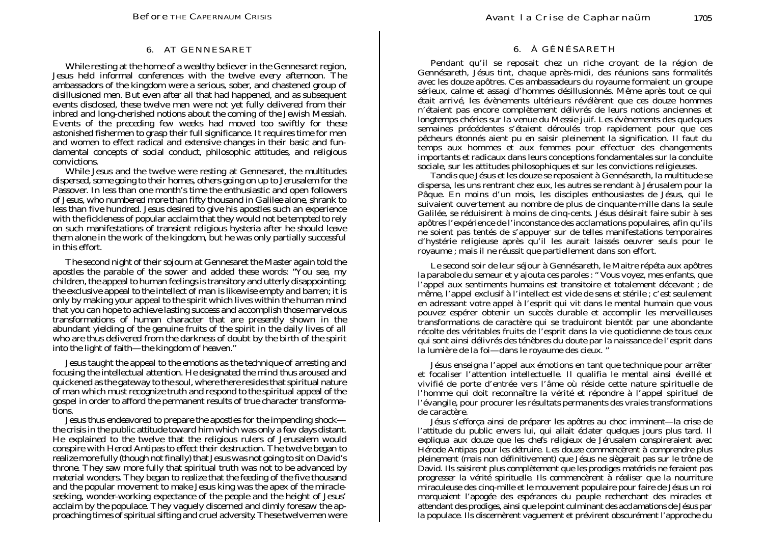## 6. AT GENNESARET

While resting at the home of a wealthy believer in the Gennesaret region, Jesus held informal conferences with the twelve every afternoon. The ambassadors of the kingdom were a serious, sober, and chastened group of disillusioned men. But even after all that had happened, and as subsequent events disclosed, these twelve men were not yet fully delivered from their inbred and long-cherished notions about the coming of the Jewish Messiah. Events of the preceding few weeks had moved too swiftly for these astonished fishermen to grasp their full significance. It requires time for men and women to effect radical and extensive changes in their basic and fundamental concepts of social conduct, philosophic attitudes, and religious convictions.

While Jesus and the twelve were resting at Gennesaret, the multitudes dispersed, some going to their homes, others going on up to Jerusalem for the Passover. In less than one month's time the enthusiastic and open followers of Jesus, who numbered more than fifty thousand in Galilee alone, shrank to less than five hundred. Jesus desired to give his apostles such an experience with the fickleness of popular acclaim that they would not be tempted to rely on such manifestations of transient religious hysteria after he should leave them alone in the work of the kingdom, but he was only partially successful in this effort.

The second night of their sojourn at Gennesaret the Master again told the apostles the parable of the sower and added these words: "You see, my children, the appeal to human feelings is transitory and utterly disappointing; the exclusive appeal to the intellect of man is likewise empty and barren; it is only by making your appeal to the spirit which lives within the human mind that you can hope to achieve lasting success and accomplish those marvelous transformations of human character that are presently shown in the abundant yielding of the genuine fruits of the spirit in the daily lives of all who are thus delivered from the darkness of doubt by the birth of the spirit into the light of faith—the kingdom of heaven."

Jesus taught the appeal to the emotions as the technique of arresting and focusing the intellectual attention. He designated the mind thus aroused and quickened as the gateway to the soul, where there resides that spiritual nature of man which must recognize truth and respond to the spiritual appeal of the gospel in order to afford the permanent results of true character transformations.

Jesus thus endeavored to prepare the apostles for the impending shock the crisis in the public attitude toward him which was only a few days distant. He explained to the twelve that the religious rulers of Jerusalem would conspire with Herod Antipas to effect their destruction. The twelve began to realize more fully (though not finally) that Jesus was not going to sit on David's throne. They saw more fully that spiritual truth was not to be advanced by material wonders. They began to realize that the feeding of the five thousand and the popular movement to make Jesus king was the apex of the miracleseeking, wonder-working expectance of the people and the height of Jesus' acclaim by the populace. They vaguely discerned and dimly foresaw the approaching times of spiritual sifting and cruel adversity. These twelve men were

## 6. À GÉNÉSARETH

Pendant qu'il se reposait chez un riche croyant de la région de Gennésareth, Jésus tint, chaque après-midi, des réunions sans formalités avec les douze apôtres. Ces ambassadeurs du royaume formaient un groupe sérieux, calme et assagi d'hommes désillusionnés. Même après tout ce qui était arrivé, les évènements ultérieurs révélèrent que ces douze hommes n'étaient pas encore complètement délivrés de leurs notions anciennes et longtemps chéries sur la venue du Messie juif. Les évènements des quelques semaines précédentes s'étaient déroulés trop rapidement pour que ces pêcheurs étonnés aient pu en saisir pleinement la signification. Il faut du temps aux hommes et aux femmes pour effectuer des changements importants et radicaux dans leurs conceptions fondamentales sur la conduite sociale, sur les attitudes philosophiques et sur les convictions religieuses.

Tandis que Jésus et les douze se reposaient à Gennésareth, la multitude se dispersa, les uns rentrant chez eux, les autres se rendant à Jérusalem pour la Pâque. En moins d'un mois, les disciples enthousiastes de Jésus, qui le suivaient ouvertement au nombre de plus de cinquante-mille dans la seule Galilée, se réduisirent à moins de cinq-cents. Jésus désirait faire subir à ses apôtres l'expérience de l'inconstance des acclamations populaires, afin qu'ils ne soient pas tentés de s'appuyer sur de telles manifestations temporaires d'hystérie religieuse après qu'il les aurait laissés oeuvrer seuls pour le royaume ; mais il ne réussit que partiellement dans son effort.

Le second soir de leur séjour à Gennésareth, le Maitre répéta aux apôtres la parabole du semeur et y ajouta ces paroles : " Vous voyez, mes enfants, que l'appel aux sentiments humains est transitoire et totalement décevant ; de même, l'appel exclusif à l'intellect est vide de sens et stérile ; c'est seulement en adressant votre appel à l'esprit qui vit dans le mental humain que vous pouvez espérer obtenir un succès durable et accomplir les merveilleuses transformations de caractère qui se traduiront bientôt par une abondante récolte des véritables fruits de l'esprit dans la vie quotidienne de tous ceux qui sont ainsi délivrés des ténèbres du doute par la naissance de l'esprit dans la lumière de la foi—dans le royaume des cieux. "

Jésus enseigna l'appel aux émotions en tant que technique pour arrêter et focaliser l'attention intellectuelle. Il qualifia le mental ainsi éveillé et vivifié de porte d'entrée vers l'âme où réside cette nature spirituelle de l'homme qui doit reconnaître la vérité et répondre à l'appel spirituel de l'évangile, pour procurer les résultats permanents des vraies transformations de caractère.

Jésus s'efforça ainsi de préparer les apôtres au choc imminent—la crise de l'attitude du public envers lui, qui allait éclater quelques jours plus tard. Il expliqua aux douze que les chefs religieux de Jérusalem conspireraient avec Hérode Antipas pour les détruire. Les douze commencèrent à comprendre plus pleinement (mais non définitivement) que Jésus ne siègerait pas sur le trône de David. Ils saisirent plus complètement que les prodiges matériels ne feraient pas progresser la vérité spirituelle. Ils commencèrent à réaliser que la nourriture miraculeuse des cinq-mille et le mouvement populaire pour faire de Jésus un roi marquaient l'apogée des espérances du peuple recherchant des miracles et attendant des prodiges, ainsi que le point culminant des acclamations de Jésus par la populace. Ils discernèrent vaguement et prévirent obscurément l'approche du